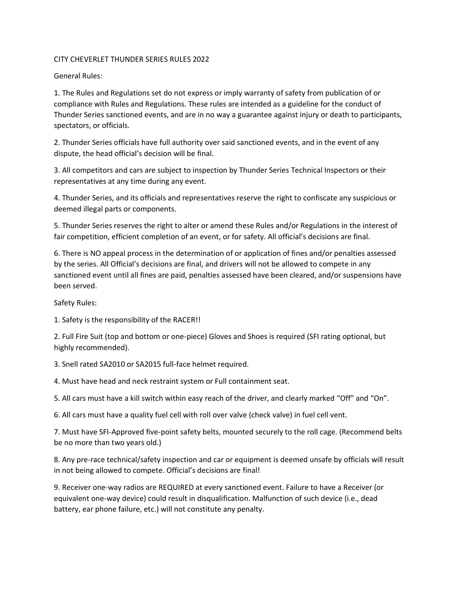## CITY CHEVERLET THUNDER SERIES RULES 2022

## General Rules:

1. The Rules and Regulations set do not express or imply warranty of safety from publication of or compliance with Rules and Regulations. These rules are intended as a guideline for the conduct of Thunder Series sanctioned events, and are in no way a guarantee against injury or death to participants, spectators, or officials.

2. Thunder Series officials have full authority over said sanctioned events, and in the event of any dispute, the head official's decision will be final.

3. All competitors and cars are subject to inspection by Thunder Series Technical Inspectors or their representatives at any time during any event.

4. Thunder Series, and its officials and representatives reserve the right to confiscate any suspicious or deemed illegal parts or components.

5. Thunder Series reserves the right to alter or amend these Rules and/or Regulations in the interest of fair competition, efficient completion of an event, or for safety. All official's decisions are final.

6. There is NO appeal process in the determination of or application of fines and/or penalties assessed by the series. All Official's decisions are final, and drivers will not be allowed to compete in any sanctioned event until all fines are paid, penalties assessed have been cleared, and/or suspensions have been served.

Safety Rules:

1. Safety is the responsibility of the RACER!!

2. Full Fire Suit (top and bottom or one-piece) Gloves and Shoes is required (SFI rating optional, but highly recommended).

3. Snell rated SA2010 or SA2015 full-face helmet required.

4. Must have head and neck restraint system or Full containment seat.

5. All cars must have a kill switch within easy reach of the driver, and clearly marked "Off" and "On".

6. All cars must have a quality fuel cell with roll over valve (check valve) in fuel cell vent.

7. Must have SFI-Approved five-point safety belts, mounted securely to the roll cage. (Recommend belts be no more than two years old.)

8. Any pre-race technical/safety inspection and car or equipment is deemed unsafe by officials will result in not being allowed to compete. Official's decisions are final!

9. Receiver one-way radios are REQUIRED at every sanctioned event. Failure to have a Receiver (or equivalent one-way device) could result in disqualification. Malfunction of such device (i.e., dead battery, ear phone failure, etc.) will not constitute any penalty.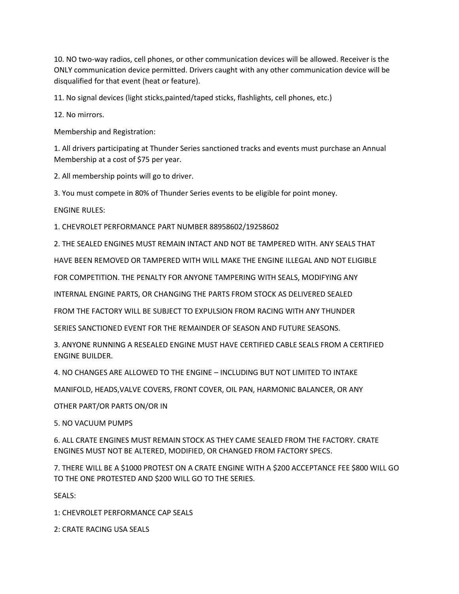10. NO two-way radios, cell phones, or other communication devices will be allowed. Receiver is the ONLY communication device permitted. Drivers caught with any other communication device will be disqualified for that event (heat or feature).

11. No signal devices (light sticks,painted/taped sticks, flashlights, cell phones, etc.)

12. No mirrors.

Membership and Registration:

1. All drivers participating at Thunder Series sanctioned tracks and events must purchase an Annual Membership at a cost of \$75 per year.

2. All membership points will go to driver.

3. You must compete in 80% of Thunder Series events to be eligible for point money.

ENGINE RULES:

1. CHEVROLET PERFORMANCE PART NUMBER 88958602/19258602

2. THE SEALED ENGINES MUST REMAIN INTACT AND NOT BE TAMPERED WITH. ANY SEALS THAT

HAVE BEEN REMOVED OR TAMPERED WITH WILL MAKE THE ENGINE ILLEGAL AND NOT ELIGIBLE

FOR COMPETITION. THE PENALTY FOR ANYONE TAMPERING WITH SEALS, MODIFYING ANY

INTERNAL ENGINE PARTS, OR CHANGING THE PARTS FROM STOCK AS DELIVERED SEALED

FROM THE FACTORY WILL BE SUBJECT TO EXPULSION FROM RACING WITH ANY THUNDER

SERIES SANCTIONED EVENT FOR THE REMAINDER OF SEASON AND FUTURE SEASONS.

3. ANYONE RUNNING A RESEALED ENGINE MUST HAVE CERTIFIED CABLE SEALS FROM A CERTIFIED ENGINE BUILDER.

4. NO CHANGES ARE ALLOWED TO THE ENGINE – INCLUDING BUT NOT LIMITED TO INTAKE

MANIFOLD, HEADS,VALVE COVERS, FRONT COVER, OIL PAN, HARMONIC BALANCER, OR ANY

OTHER PART/OR PARTS ON/OR IN

5. NO VACUUM PUMPS

6. ALL CRATE ENGINES MUST REMAIN STOCK AS THEY CAME SEALED FROM THE FACTORY. CRATE ENGINES MUST NOT BE ALTERED, MODIFIED, OR CHANGED FROM FACTORY SPECS.

7. THERE WILL BE A \$1000 PROTEST ON A CRATE ENGINE WITH A \$200 ACCEPTANCE FEE \$800 WILL GO TO THE ONE PROTESTED AND \$200 WILL GO TO THE SERIES.

SEALS:

1: CHEVROLET PERFORMANCE CAP SEALS

2: CRATE RACING USA SEALS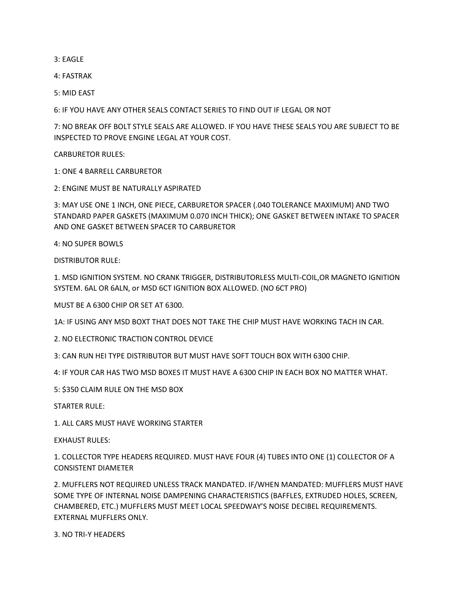3: EAGLE

4: FASTRAK

5: MID EAST

6: IF YOU HAVE ANY OTHER SEALS CONTACT SERIES TO FIND OUT IF LEGAL OR NOT

7: NO BREAK OFF BOLT STYLE SEALS ARE ALLOWED. IF YOU HAVE THESE SEALS YOU ARE SUBJECT TO BE INSPECTED TO PROVE ENGINE LEGAL AT YOUR COST.

CARBURETOR RULES:

1: ONE 4 BARRELL CARBURETOR

2: ENGINE MUST BE NATURALLY ASPIRATED

3: MAY USE ONE 1 INCH, ONE PIECE, CARBURETOR SPACER (.040 TOLERANCE MAXIMUM) AND TWO STANDARD PAPER GASKETS (MAXIMUM 0.070 INCH THICK); ONE GASKET BETWEEN INTAKE TO SPACER AND ONE GASKET BETWEEN SPACER TO CARBURETOR

4: NO SUPER BOWLS

DISTRIBUTOR RULE:

1. MSD IGNITION SYSTEM. NO CRANK TRIGGER, DISTRIBUTORLESS MULTI-COIL,OR MAGNETO IGNITION SYSTEM. 6AL OR 6ALN, or MSD 6CT IGNITION BOX ALLOWED. (NO 6CT PRO)

MUST BE A 6300 CHIP OR SET AT 6300.

1A: IF USING ANY MSD BOXT THAT DOES NOT TAKE THE CHIP MUST HAVE WORKING TACH IN CAR.

2. NO ELECTRONIC TRACTION CONTROL DEVICE

3: CAN RUN HEI TYPE DISTRIBUTOR BUT MUST HAVE SOFT TOUCH BOX WITH 6300 CHIP.

4: IF YOUR CAR HAS TWO MSD BOXES IT MUST HAVE A 6300 CHIP IN EACH BOX NO MATTER WHAT.

5: \$350 CLAIM RULE ON THE MSD BOX

STARTER RULE:

1. ALL CARS MUST HAVE WORKING STARTER

 $EXHALIST$  RULES:

1. COLLECTOR TYPE HEADERS REQUIRED. MUST HAVE FOUR (4) TUBES INTO ONE (1) COLLECTOR OF A CONSISTENT DIAMETER

2. MUFFLERS NOT REQUIRED UNLESS TRACK MANDATED. IF/WHEN MANDATED: MUFFLERS MUST HAVE SOME TYPE OF INTERNAL NOISE DAMPENING CHARACTERISTICS (BAFFLES, EXTRUDED HOLES, SCREEN, CHAMBERED, ETC.) MUFFLERS MUST MEET LOCAL SPEEDWAY'S NOISE DECIBEL REQUIREMENTS. EXTERNAL MUFFLERS ONLY.

3. NO TRI-Y HEADERS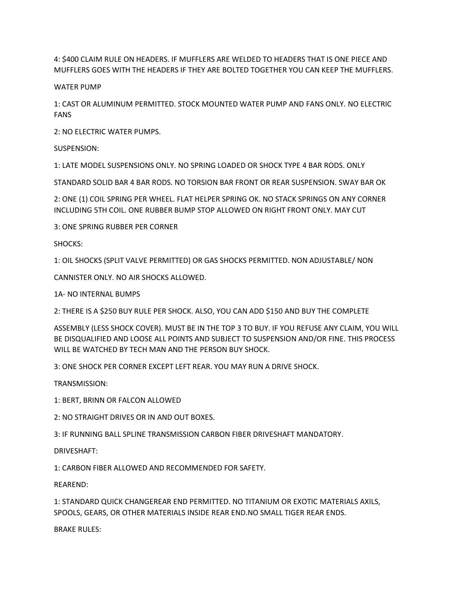4: \$400 CLAIM RULE ON HEADERS. IF MUFFLERS ARE WELDED TO HEADERS THAT IS ONE PIECE AND MUFFLERS GOES WITH THE HEADERS IF THEY ARE BOLTED TOGETHER YOU CAN KEEP THE MUFFLERS.

## WATER PUMP

1: CAST OR ALUMINUM PERMITTED. STOCK MOUNTED WATER PUMP AND FANS ONLY. NO ELECTRIC FANS

2: NO ELECTRIC WATER PUMPS.

SUSPENSION:

1: LATE MODEL SUSPENSIONS ONLY. NO SPRING LOADED OR SHOCK TYPE 4 BAR RODS. ONLY

STANDARD SOLID BAR 4 BAR RODS. NO TORSION BAR FRONT OR REAR SUSPENSION. SWAY BAR OK

2: ONE (1) COIL SPRING PER WHEEL. FLAT HELPER SPRING OK. NO STACK SPRINGS ON ANY CORNER INCLUDING 5TH COIL. ONE RUBBER BUMP STOP ALLOWED ON RIGHT FRONT ONLY. MAY CUT

3: ONE SPRING RUBBER PER CORNER

SHOCKS:

1: OIL SHOCKS (SPLIT VALVE PERMITTED) OR GAS SHOCKS PERMITTED. NON ADJUSTABLE/ NON

CANNISTER ONLY. NO AIR SHOCKS ALLOWED.

1A- NO INTERNAL BUMPS

2: THERE IS A \$250 BUY RULE PER SHOCK. ALSO, YOU CAN ADD \$150 AND BUY THE COMPLETE

ASSEMBLY (LESS SHOCK COVER). MUST BE IN THE TOP 3 TO BUY. IF YOU REFUSE ANY CLAIM, YOU WILL BE DISQUALIFIED AND LOOSE ALL POINTS AND SUBJECT TO SUSPENSION AND/OR FINE. THIS PROCESS WILL BE WATCHED BY TECH MAN AND THE PERSON BUY SHOCK.

3: ONE SHOCK PER CORNER EXCEPT LEFT REAR. YOU MAY RUN A DRIVE SHOCK.

TRANSMISSION:

1: BERT, BRINN OR FALCON ALLOWED

2: NO STRAIGHT DRIVES OR IN AND OUT BOXES.

3: IF RUNNING BALL SPLINE TRANSMISSION CARBON FIBER DRIVESHAFT MANDATORY.

DRIVESHAFT:

1: CARBON FIBER ALLOWED AND RECOMMENDED FOR SAFETY.

REAREND:

1: STANDARD QUICK CHANGEREAR END PERMITTED. NO TITANIUM OR EXOTIC MATERIALS AXILS, SPOOLS, GEARS, OR OTHER MATERIALS INSIDE REAR END.NO SMALL TIGER REAR ENDS.

BRAKE RULES: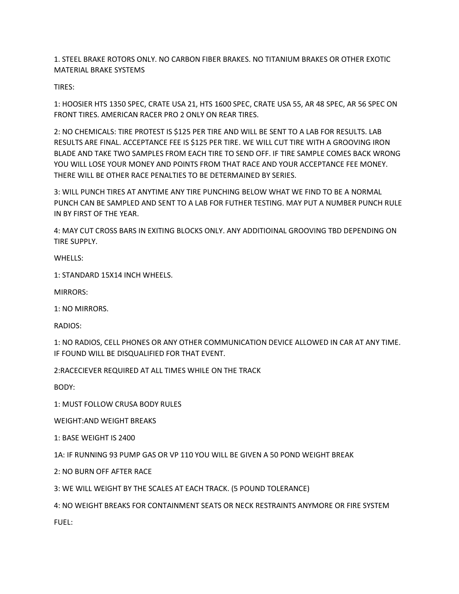1. STEEL BRAKE ROTORS ONLY. NO CARBON FIBER BRAKES. NO TITANIUM BRAKES OR OTHER EXOTIC MATERIAL BRAKE SYSTEMS

TIRES:

1: HOOSIER HTS 1350 SPEC, CRATE USA 21, HTS 1600 SPEC, CRATE USA 55, AR 48 SPEC, AR 56 SPEC ON FRONT TIRES. AMERICAN RACER PRO 2 ONLY ON REAR TIRES.

2: NO CHEMICALS: TIRE PROTEST IS \$125 PER TIRE AND WILL BE SENT TO A LAB FOR RESULTS. LAB RESULTS ARE FINAL. ACCEPTANCE FEE IS \$125 PER TIRE. WE WILL CUT TIRE WITH A GROOVING IRON BLADE AND TAKE TWO SAMPLES FROM EACH TIRE TO SEND OFF. IF TIRE SAMPLE COMES BACK WRONG YOU WILL LOSE YOUR MONEY AND POINTS FROM THAT RACE AND YOUR ACCEPTANCE FEE MONEY. THERE WILL BE OTHER RACE PENALTIES TO BE DETERMAINED BY SERIES.

3: WILL PUNCH TIRES AT ANYTIME ANY TIRE PUNCHING BELOW WHAT WE FIND TO BE A NORMAL PUNCH CAN BE SAMPLED AND SENT TO A LAB FOR FUTHER TESTING. MAY PUT A NUMBER PUNCH RULE IN BY FIRST OF THE YEAR.

4: MAY CUT CROSS BARS IN EXITING BLOCKS ONLY. ANY ADDITIOINAL GROOVING TBD DEPENDING ON TIRE SUPPLY.

WHELLS:

1: STANDARD 15X14 INCH WHEELS.

MIRRORS:

1: NO MIRRORS.

RADIOS:

1: NO RADIOS, CELL PHONES OR ANY OTHER COMMUNICATION DEVICE ALLOWED IN CAR AT ANY TIME. IF FOUND WILL BE DISQUALIFIED FOR THAT EVENT.

2:RACECIEVER REQUIRED AT ALL TIMES WHILE ON THE TRACK

BODY:

1: MUST FOLLOW CRUSA BODY RULES

WEIGHT:AND WEIGHT BREAKS

1: BASE WEIGHT IS 2400

1A: IF RUNNING 93 PUMP GAS OR VP 110 YOU WILL BE GIVEN A 50 POND WEIGHT BREAK

2: NO BURN OFF AFTER RACE

3: WE WILL WEIGHT BY THE SCALES AT EACH TRACK. (5 POUND TOLERANCE)

4: NO WEIGHT BREAKS FOR CONTAINMENT SEATS OR NECK RESTRAINTS ANYMORE OR FIRE SYSTEM FUEL: